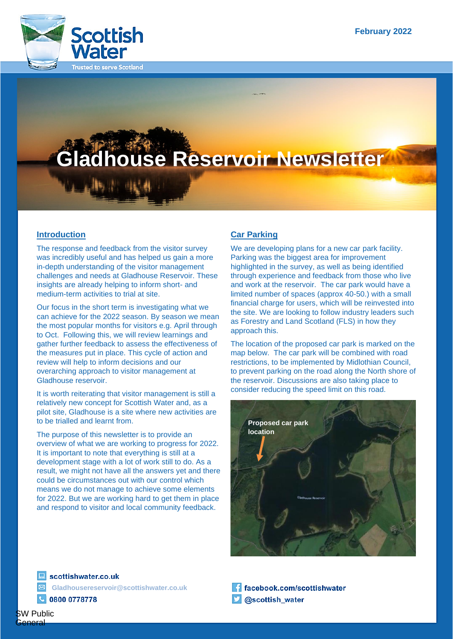

# **Gladhouse Reservoir Newsletter**

## **Introduction**

The response and feedback from the visitor survey was incredibly useful and has helped us gain a more in-depth understanding of the visitor management challenges and needs at Gladhouse Reservoir. These insights are already helping to inform short- and medium-term activities to trial at site.

Our focus in the short term is investigating what we can achieve for the 2022 season. By season we mean the most popular months for visitors e.g. April through to Oct. Following this, we will review learnings and gather further feedback to assess the effectiveness of the measures put in place. This cycle of action and review will help to inform decisions and our overarching approach to visitor management at Gladhouse reservoir.

It is worth reiterating that visitor management is still a relatively new concept for Scottish Water and, as a pilot site, Gladhouse is a site where new activities are to be trialled and learnt from.

The purpose of this newsletter is to provide an overview of what we are working to progress for 2022. It is important to note that everything is still at a development stage with a lot of work still to do. As a result, we might not have all the answers yet and there could be circumstances out with our control which means we do not manage to achieve some elements for 2022. But we are working hard to get them in place and respond to visitor and local community feedback.

## **Car Parking**

We are developing plans for a new car park facility. Parking was the biggest area for improvement highlighted in the survey, as well as being identified through experience and feedback from those who live and work at the reservoir. The car park would have a limited number of spaces (approx 40-50.) with a small financial charge for users, which will be reinvested into the site. We are looking to follow industry leaders such as Forestry and Land Scotland (FLS) in how they approach this.

The location of the proposed car park is marked on the map below. The car park will be combined with road restrictions, to be implemented by Midlothian Council, to prevent parking on the road along the North shore of the reservoir. Discussions are also taking place to consider reducing the speed limit on this road.



scottishwater.co.uk **Gladhousereservoir@scottishwater.co.uk**0800 0778778

facebook.com/scottishwater @scottish\_water

SW Public ìeneral